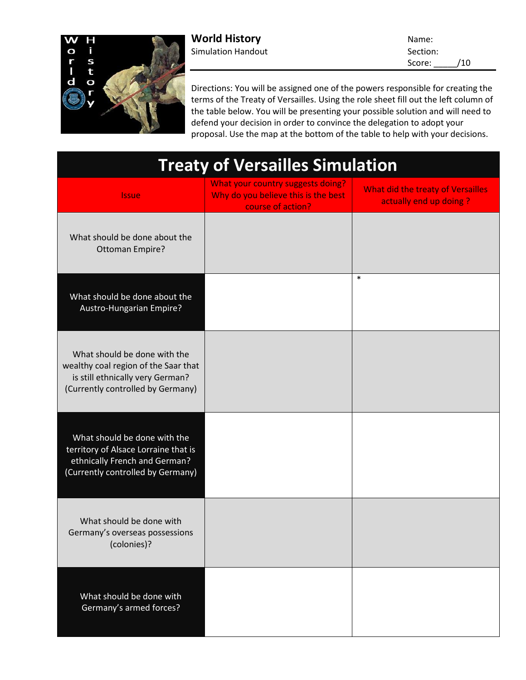

**World History** Name: Simulation Handout **Section:** Section:

Score: \_\_\_\_\_/10

Directions: You will be assigned one of the powers responsible for creating the terms of the Treaty of Versailles. Using the role sheet fill out the left column of the table below. You will be presenting your possible solution and will need to defend your decision in order to convince the delegation to adopt your proposal. Use the map at the bottom of the table to help with your decisions.

| <b>Treaty of Versailles Simulation</b>                                                                                                        |                                                                                               |                                                             |
|-----------------------------------------------------------------------------------------------------------------------------------------------|-----------------------------------------------------------------------------------------------|-------------------------------------------------------------|
| <b>Issue</b>                                                                                                                                  | What your country suggests doing?<br>Why do you believe this is the best<br>course of action? | What did the treaty of Versailles<br>actually end up doing? |
| What should be done about the<br><b>Ottoman Empire?</b>                                                                                       |                                                                                               |                                                             |
| What should be done about the<br>Austro-Hungarian Empire?                                                                                     |                                                                                               | $\ast$                                                      |
| What should be done with the<br>wealthy coal region of the Saar that<br>is still ethnically very German?<br>(Currently controlled by Germany) |                                                                                               |                                                             |
| What should be done with the<br>territory of Alsace Lorraine that is<br>ethnically French and German?<br>(Currently controlled by Germany)    |                                                                                               |                                                             |
| What should be done with<br>Germany's overseas possessions<br>(colonies)?                                                                     |                                                                                               |                                                             |
| What should be done with<br>Germany's armed forces?                                                                                           |                                                                                               |                                                             |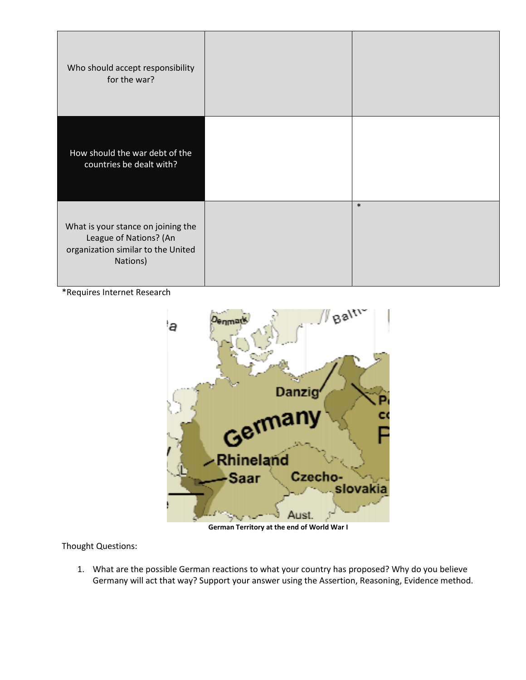| Who should accept responsibility<br>for the war?                                                               |        |
|----------------------------------------------------------------------------------------------------------------|--------|
| How should the war debt of the<br>countries be dealt with?                                                     |        |
| What is your stance on joining the<br>League of Nations? (An<br>organization similar to the United<br>Nations) | $\ast$ |

\*Requires Internet Research



**German Territory at the end of World War I**

Thought Questions:

1. What are the possible German reactions to what your country has proposed? Why do you believe Germany will act that way? Support your answer using the Assertion, Reasoning, Evidence method.